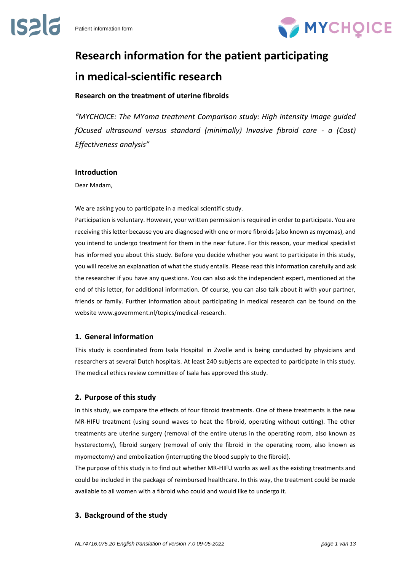

# **Research information for the patient participating in medical-scientific research**

# **Research on the treatment of uterine fibroids**

*"MYCHOICE: The MYoma treatment Comparison study: High intensity image guided fOcused ultrasound versus standard (minimally) Invasive fibroid care - a (Cost) Effectiveness analysis"*

# **Introduction**

Dear Madam,

We are asking you to participate in a medical scientific study.

Participation is voluntary. However, your written permission is required in order to participate. You are receiving this letter because you are diagnosed with one or more fibroids (also known as myomas), and you intend to undergo treatment for them in the near future. For this reason, your medical specialist has informed you about this study. Before you decide whether you want to participate in this study, you will receive an explanation of what the study entails. Please read this information carefully and ask the researcher if you have any questions. You can also ask the independent expert, mentioned at the end of this letter, for additional information. Of course, you can also talk about it with your partner, friends or family. Further information about participating in medical research can be found on the website www.government.nl/topics/medical-research.

# **1. General information**

This study is coordinated from Isala Hospital in Zwolle and is being conducted by physicians and researchers at several Dutch hospitals. At least 240 subjects are expected to participate in this study. The medical ethics review committee of Isala has approved this study.

# **2. Purpose of this study**

In this study, we compare the effects of four fibroid treatments. One of these treatments is the new MR-HIFU treatment (using sound waves to heat the fibroid, operating without cutting). The other treatments are uterine surgery (removal of the entire uterus in the operating room, also known as hysterectomy), fibroid surgery (removal of only the fibroid in the operating room, also known as myomectomy) and embolization (interrupting the blood supply to the fibroid).

The purpose of this study is to find out whether MR-HIFU works as well as the existing treatments and could be included in the package of reimbursed healthcare. In this way, the treatment could be made available to all women with a fibroid who could and would like to undergo it.

# **3. Background of the study**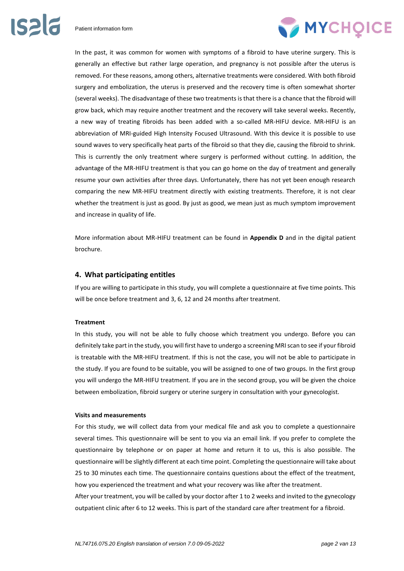

In the past, it was common for women with symptoms of a fibroid to have uterine surgery. This is generally an effective but rather large operation, and pregnancy is not possible after the uterus is removed. For these reasons, among others, alternative treatments were considered. With both fibroid surgery and embolization, the uterus is preserved and the recovery time is often somewhat shorter (several weeks). The disadvantage of these two treatments is that there is a chance that the fibroid will grow back, which may require another treatment and the recovery will take several weeks. Recently, a new way of treating fibroids has been added with a so-called MR-HIFU device. MR-HIFU is an abbreviation of MRI-guided High Intensity Focused Ultrasound. With this device it is possible to use sound waves to very specifically heat parts of the fibroid so that they die, causing the fibroid to shrink. This is currently the only treatment where surgery is performed without cutting. In addition, the advantage of the MR-HIFU treatment is that you can go home on the day of treatment and generally resume your own activities after three days. Unfortunately, there has not yet been enough research comparing the new MR-HIFU treatment directly with existing treatments. Therefore, it is not clear whether the treatment is just as good. By just as good, we mean just as much symptom improvement and increase in quality of life.

More information about MR-HIFU treatment can be found in **Appendix D** and in the digital patient brochure.

#### **4. What participating entitles**

If you are willing to participate in this study, you will complete a questionnaire at five time points. This will be once before treatment and 3, 6, 12 and 24 months after treatment.

#### **Treatment**

In this study, you will not be able to fully choose which treatment you undergo. Before you can definitely take part in the study, you will first have to undergo a screening MRI scan to see if your fibroid is treatable with the MR-HIFU treatment. If this is not the case, you will not be able to participate in the study. If you are found to be suitable, you will be assigned to one of two groups. In the first group you will undergo the MR-HIFU treatment. If you are in the second group, you will be given the choice between embolization, fibroid surgery or uterine surgery in consultation with your gynecologist.

#### **Visits and measurements**

For this study, we will collect data from your medical file and ask you to complete a questionnaire several times. This questionnaire will be sent to you via an email link. If you prefer to complete the questionnaire by telephone or on paper at home and return it to us, this is also possible. The questionnaire will be slightly different at each time point. Completing the questionnaire will take about 25 to 30 minutes each time. The questionnaire contains questions about the effect of the treatment, how you experienced the treatment and what your recovery was like after the treatment.

After your treatment, you will be called by your doctor after 1 to 2 weeks and invited to the gynecology outpatient clinic after 6 to 12 weeks. This is part of the standard care after treatment for a fibroid.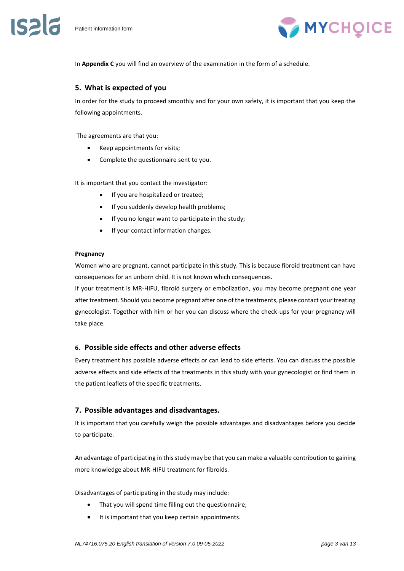**IS216** 



In **Appendix C** you will find an overview of the examination in the form of a schedule.

# **5. What is expected of you**

In order for the study to proceed smoothly and for your own safety, it is important that you keep the following appointments.

The agreements are that you:

- Keep appointments for visits;
- Complete the questionnaire sent to you.

It is important that you contact the investigator:

- If you are hospitalized or treated;
- If you suddenly develop health problems;
- If you no longer want to participate in the study;
- If your contact information changes.

#### **Pregnancy**

Women who are pregnant, cannot participate in this study. This is because fibroid treatment can have consequences for an unborn child. It is not known which consequences.

If your treatment is MR-HIFU, fibroid surgery or embolization, you may become pregnant one year after treatment. Should you become pregnant after one of the treatments, please contact your treating gynecologist. Together with him or her you can discuss where the check-ups for your pregnancy will take place.

# **6. Possible side effects and other adverse effects**

Every treatment has possible adverse effects or can lead to side effects. You can discuss the possible adverse effects and side effects of the treatments in this study with your gynecologist or find them in the patient leaflets of the specific treatments.

# **7. Possible advantages and disadvantages.**

It is important that you carefully weigh the possible advantages and disadvantages before you decide to participate.

An advantage of participating in this study may be that you can make a valuable contribution to gaining more knowledge about MR-HIFU treatment for fibroids.

Disadvantages of participating in the study may include:

- That you will spend time filling out the questionnaire;
- It is important that you keep certain appointments.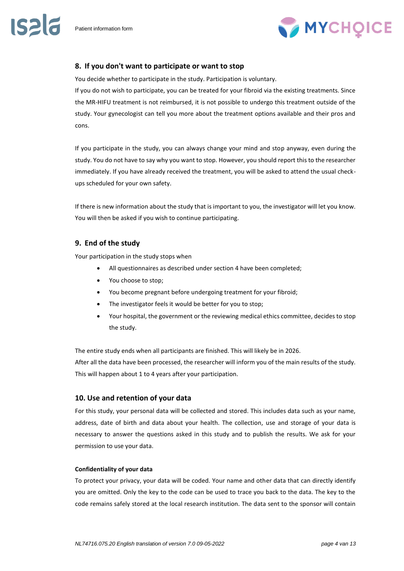**IS216** 



# **8. If you don't want to participate or want to stop**

You decide whether to participate in the study. Participation is voluntary.

If you do not wish to participate, you can be treated for your fibroid via the existing treatments. Since the MR-HIFU treatment is not reimbursed, it is not possible to undergo this treatment outside of the study. Your gynecologist can tell you more about the treatment options available and their pros and cons.

If you participate in the study, you can always change your mind and stop anyway, even during the study. You do not have to say why you want to stop. However, you should report this to the researcher immediately. If you have already received the treatment, you will be asked to attend the usual checkups scheduled for your own safety.

If there is new information about the study that is important to you, the investigator will let you know. You will then be asked if you wish to continue participating.

# **9. End of the study**

Your participation in the study stops when

- All questionnaires as described under section 4 have been completed;
- You choose to stop;
- You become pregnant before undergoing treatment for your fibroid;
- The investigator feels it would be better for you to stop;
- Your hospital, the government or the reviewing medical ethics committee, decides to stop the study.

The entire study ends when all participants are finished. This will likely be in 2026.

After all the data have been processed, the researcher will inform you of the main results of the study. This will happen about 1 to 4 years after your participation.

# **10. Use and retention of your data**

For this study, your personal data will be collected and stored. This includes data such as your name, address, date of birth and data about your health. The collection, use and storage of your data is necessary to answer the questions asked in this study and to publish the results. We ask for your permission to use your data.

#### **Confidentiality of your data**

To protect your privacy, your data will be coded. Your name and other data that can directly identify you are omitted. Only the key to the code can be used to trace you back to the data. The key to the code remains safely stored at the local research institution. The data sent to the sponsor will contain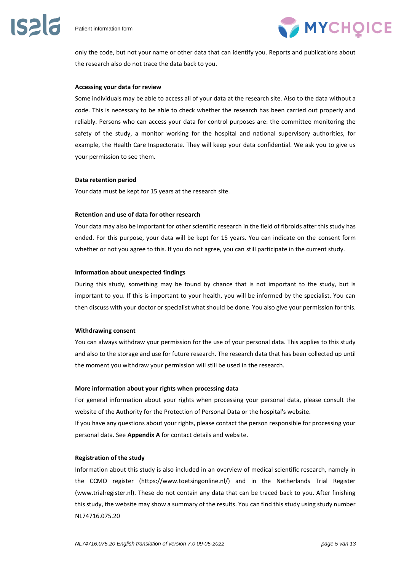

only the code, but not your name or other data that can identify you. Reports and publications about the research also do not trace the data back to you.

#### **Accessing your data for review**

Some individuals may be able to access all of your data at the research site. Also to the data without a code. This is necessary to be able to check whether the research has been carried out properly and reliably. Persons who can access your data for control purposes are: the committee monitoring the safety of the study, a monitor working for the hospital and national supervisory authorities, for example, the Health Care Inspectorate. They will keep your data confidential. We ask you to give us your permission to see them.

#### **Data retention period**

Your data must be kept for 15 years at the research site.

#### **Retention and use of data for other research**

Your data may also be important for other scientific research in the field of fibroids after this study has ended. For this purpose, your data will be kept for 15 years. You can indicate on the consent form whether or not you agree to this. If you do not agree, you can still participate in the current study.

#### **Information about unexpected findings**

During this study, something may be found by chance that is not important to the study, but is important to you. If this is important to your health, you will be informed by the specialist. You can then discuss with your doctor or specialist what should be done. You also give your permission for this.

#### **Withdrawing consent**

You can always withdraw your permission for the use of your personal data. This applies to this study and also to the storage and use for future research. The research data that has been collected up until the moment you withdraw your permission will still be used in the research.

#### **More information about your rights when processing data**

For general information about your rights when processing your personal data, please consult the website of the Authority for the Protection of Personal Data or the hospital's website.

If you have any questions about your rights, please contact the person responsible for processing your personal data. See **Appendix A** for contact details and website.

#### **Registration of the study**

Information about this study is also included in an overview of medical scientific research, namely in the CCMO register (https://www.toetsingonline.nl/) and in the Netherlands Trial Register (www.trialregister.nl). These do not contain any data that can be traced back to you. After finishing this study, the website may show a summary of the results. You can find this study using study number NL74716.075.20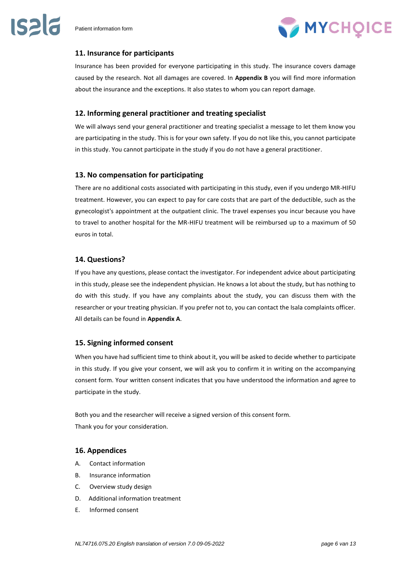

# **11. Insurance for participants**

Insurance has been provided for everyone participating in this study. The insurance covers damage caused by the research. Not all damages are covered. In **Appendix B** you will find more information about the insurance and the exceptions. It also states to whom you can report damage.

# **12. Informing general practitioner and treating specialist**

We will always send your general practitioner and treating specialist a message to let them know you are participating in the study. This is for your own safety. If you do not like this, you cannot participate in this study. You cannot participate in the study if you do not have a general practitioner.

# **13. No compensation for participating**

There are no additional costs associated with participating in this study, even if you undergo MR-HIFU treatment. However, you can expect to pay for care costs that are part of the deductible, such as the gynecologist's appointment at the outpatient clinic. The travel expenses you incur because you have to travel to another hospital for the MR-HIFU treatment will be reimbursed up to a maximum of 50 euros in total.

# **14. Questions?**

If you have any questions, please contact the investigator. For independent advice about participating in this study, please see the independent physician. He knows a lot about the study, but has nothing to do with this study. If you have any complaints about the study, you can discuss them with the researcher or your treating physician. If you prefer not to, you can contact the Isala complaints officer. All details can be found in **Appendix A**.

# **15. Signing informed consent**

When you have had sufficient time to think about it, you will be asked to decide whether to participate in this study. If you give your consent, we will ask you to confirm it in writing on the accompanying consent form. Your written consent indicates that you have understood the information and agree to participate in the study.

Both you and the researcher will receive a signed version of this consent form. Thank you for your consideration.

# **16. Appendices**

- A. Contact information
- B. Insurance information
- C. Overview study design
- D. Additional information treatment
- E. Informed consent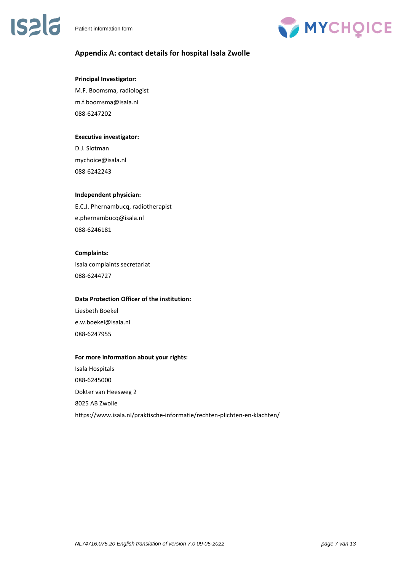# **ISPIE**



# **Appendix A: contact details for hospital Isala Zwolle**

### **Principal Investigator:**

M.F. Boomsma, radiologist m.f.boomsma@isala.nl 088-6247202

# **Executive investigator:**

D.J. Slotman mychoice@isala.nl 088-6242243

# **Independent physician:**

E.C.J. Phernambucq, radiotherapist e.phernambucq@isala.nl 088-6246181

# **Complaints:**

Isala complaints secretariat 088-6244727

# **Data Protection Officer of the institution:**

Liesbeth Boekel e.w.boekel@isala.nl 088-6247955

# **For more information about your rights:**

Isala Hospitals 088-6245000 Dokter van Heesweg 2 8025 AB Zwolle https://www.isala.nl/praktische-informatie/rechten-plichten-en-klachten/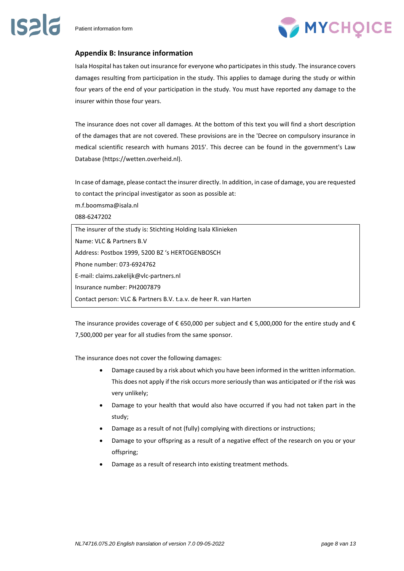

# **Appendix B: Insurance information**

Isala Hospital has taken out insurance for everyone who participates in this study. The insurance covers damages resulting from participation in the study. This applies to damage during the study or within four years of the end of your participation in the study. You must have reported any damage to the insurer within those four years.

The insurance does not cover all damages. At the bottom of this text you will find a short description of the damages that are not covered. These provisions are in the 'Decree on compulsory insurance in medical scientific research with humans 2015'. This decree can be found in the government's Law Database (https://wetten.overheid.nl).

In case of damage, please contact the insurer directly. In addition, in case of damage, you are requested to contact the principal investigator as soon as possible at:

m.f.boomsma@isala.nl

088-6247202

The insurer of the study is: Stichting Holding Isala Klinieken Name: VLC & Partners B.V Address: Postbox 1999, 5200 BZ 's HERTOGENBOSCH Phone number: 073-6924762 E-mail: claims.zakelijk@vlc-partners.nl Insurance number: PH2007879 Contact person: VLC & Partners B.V. t.a.v. de heer R. van Harten

The insurance provides coverage of  $\epsilon$  650,000 per subject and  $\epsilon$  5,000,000 for the entire study and  $\epsilon$ 7,500,000 per year for all studies from the same sponsor.

The insurance does not cover the following damages:

- Damage caused by a risk about which you have been informed in the written information. This does not apply if the risk occurs more seriously than was anticipated or if the risk was very unlikely;
- Damage to your health that would also have occurred if you had not taken part in the study;
- Damage as a result of not (fully) complying with directions or instructions;
- Damage to your offspring as a result of a negative effect of the research on you or your offspring;
- Damage as a result of research into existing treatment methods.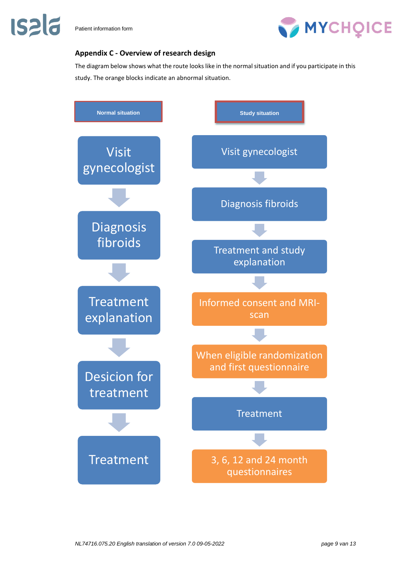

**IS2 6** 

# **Appendix C - Overview of research design**

The diagram below shows what the route looks like in the normal situation and if you participate in this study. The orange blocks indicate an abnormal situation.

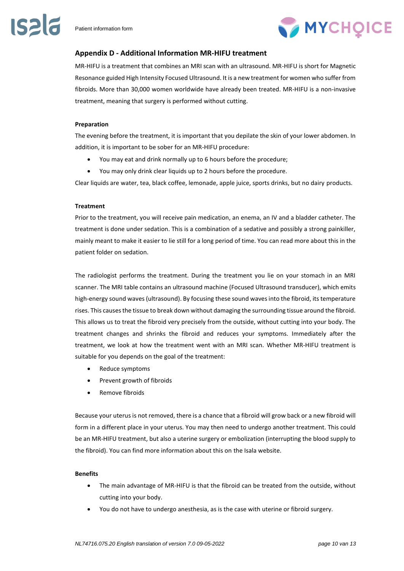

# **Appendix D - Additional Information MR-HIFU treatment**

MR-HIFU is a treatment that combines an MRI scan with an ultrasound. MR-HIFU is short for Magnetic Resonance guided High Intensity Focused Ultrasound. It is a new treatment for women who suffer from fibroids. More than 30,000 women worldwide have already been treated. MR-HIFU is a non-invasive treatment, meaning that surgery is performed without cutting.

#### **Preparation**

The evening before the treatment, it is important that you depilate the skin of your lower abdomen. In addition, it is important to be sober for an MR-HIFU procedure:

- You may eat and drink normally up to 6 hours before the procedure;
- You may only drink clear liquids up to 2 hours before the procedure.

Clear liquids are water, tea, black coffee, lemonade, apple juice, sports drinks, but no dairy products.

#### **Treatment**

Prior to the treatment, you will receive pain medication, an enema, an IV and a bladder catheter. The treatment is done under sedation. This is a combination of a sedative and possibly a strong painkiller, mainly meant to make it easier to lie still for a long period of time. You can read more about this in the patient folder on sedation.

The radiologist performs the treatment. During the treatment you lie on your stomach in an MRI scanner. The MRI table contains an ultrasound machine (Focused Ultrasound transducer), which emits high-energy sound waves (ultrasound). By focusing these sound waves into the fibroid, its temperature rises. This causes the tissue to break down without damaging the surrounding tissue around the fibroid. This allows us to treat the fibroid very precisely from the outside, without cutting into your body. The treatment changes and shrinks the fibroid and reduces your symptoms. Immediately after the treatment, we look at how the treatment went with an MRI scan. Whether MR-HIFU treatment is suitable for you depends on the goal of the treatment:

- Reduce symptoms
- Prevent growth of fibroids
- Remove fibroids

Because your uterus is not removed, there is a chance that a fibroid will grow back or a new fibroid will form in a different place in your uterus. You may then need to undergo another treatment. This could be an MR-HIFU treatment, but also a uterine surgery or embolization (interrupting the blood supply to the fibroid). You can find more information about this on the Isala website.

#### **Benefits**

- The main advantage of MR-HIFU is that the fibroid can be treated from the outside, without cutting into your body.
- You do not have to undergo anesthesia, as is the case with uterine or fibroid surgery.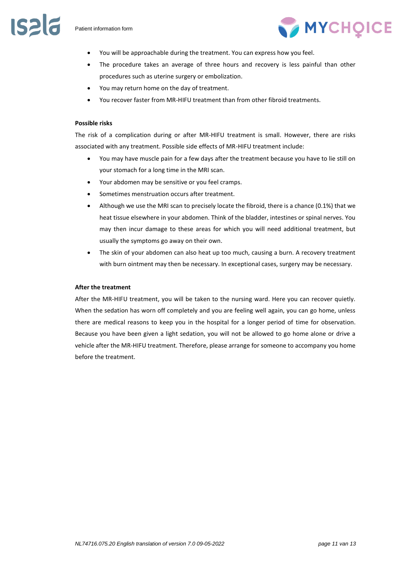

- You will be approachable during the treatment. You can express how you feel.
- The procedure takes an average of three hours and recovery is less painful than other procedures such as uterine surgery or embolization.
- You may return home on the day of treatment.
- You recover faster from MR-HIFU treatment than from other fibroid treatments.

#### **Possible risks**

The risk of a complication during or after MR-HIFU treatment is small. However, there are risks associated with any treatment. Possible side effects of MR-HIFU treatment include:

- You may have muscle pain for a few days after the treatment because you have to lie still on your stomach for a long time in the MRI scan.
- Your abdomen may be sensitive or you feel cramps.
- Sometimes menstruation occurs after treatment.
- Although we use the MRI scan to precisely locate the fibroid, there is a chance (0.1%) that we heat tissue elsewhere in your abdomen. Think of the bladder, intestines or spinal nerves. You may then incur damage to these areas for which you will need additional treatment, but usually the symptoms go away on their own.
- The skin of your abdomen can also heat up too much, causing a burn. A recovery treatment with burn ointment may then be necessary. In exceptional cases, surgery may be necessary.

#### **After the treatment**

After the MR-HIFU treatment, you will be taken to the nursing ward. Here you can recover quietly. When the sedation has worn off completely and you are feeling well again, you can go home, unless there are medical reasons to keep you in the hospital for a longer period of time for observation. Because you have been given a light sedation, you will not be allowed to go home alone or drive a vehicle after the MR-HIFU treatment. Therefore, please arrange for someone to accompany you home before the treatment.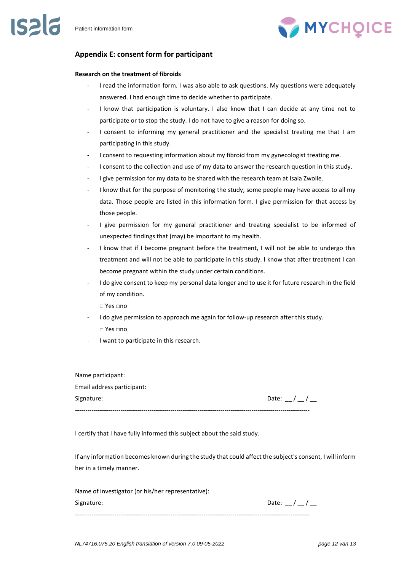# **IS212**

# **Appendix E: consent form for participant**

# **Research on the treatment of fibroids**

- I read the information form. I was also able to ask questions. My questions were adequately answered. I had enough time to decide whether to participate.
- I know that participation is voluntary. I also know that I can decide at any time not to participate or to stop the study. I do not have to give a reason for doing so.
- I consent to informing my general practitioner and the specialist treating me that I am participating in this study.
- I consent to requesting information about my fibroid from my gynecologist treating me.
- I consent to the collection and use of my data to answer the research question in this study.
- I give permission for my data to be shared with the research team at Isala Zwolle.
- I know that for the purpose of monitoring the study, some people may have access to all my data. Those people are listed in this information form. I give permission for that access by those people.
- I give permission for my general practitioner and treating specialist to be informed of unexpected findings that (may) be important to my health.
- I know that if I become pregnant before the treatment, I will not be able to undergo this treatment and will not be able to participate in this study. I know that after treatment I can become pregnant within the study under certain conditions.
- I do give consent to keep my personal data longer and to use it for future research in the field of my condition.
	- □ Yes □no
- I do give permission to approach me again for follow-up research after this study. □ Yes □no
- I want to participate in this research.

Name participant: Email address participant: Signature: Date:  $\sqrt{2}$  /  $\sqrt{2}$ 

-----------------------------------------------------------------------------------------------------------------

I certify that I have fully informed this subject about the said study.

If any information becomes known during the study that could affect the subject's consent, I will inform her in a timely manner.

| Name of investigator (or his/her representative): |           |
|---------------------------------------------------|-----------|
| Signature:                                        | Date: / / |
|                                                   |           |